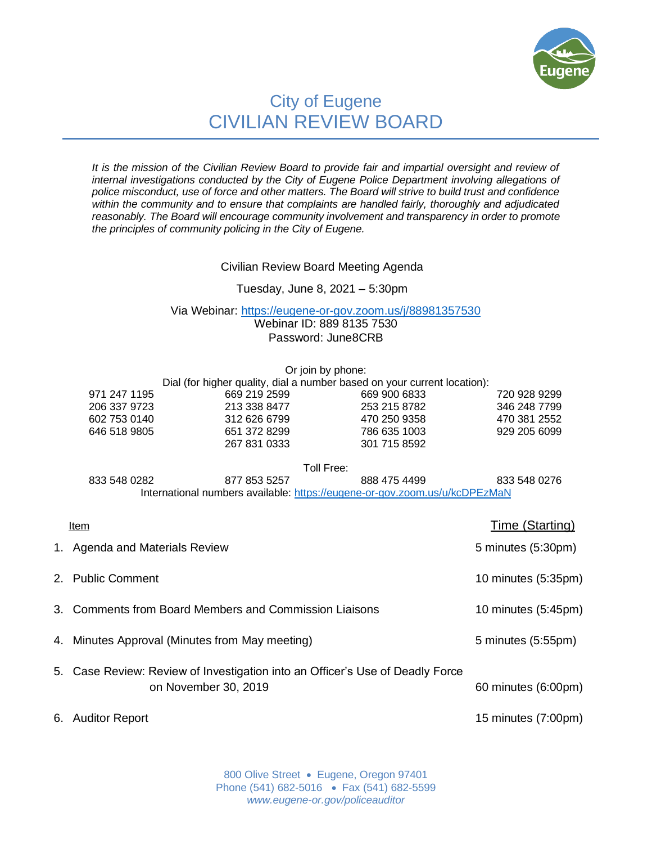

# City of Eugene CIVILIAN REVIEW BOARD

*It is the mission of the Civilian Review Board to provide fair and impartial oversight and review of internal investigations conducted by the City of Eugene Police Department involving allegations of police misconduct, use of force and other matters. The Board will strive to build trust and confidence within the community and to ensure that complaints are handled fairly, thoroughly and adjudicated reasonably. The Board will encourage community involvement and transparency in order to promote the principles of community policing in the City of Eugene.*

## Civilian Review Board Meeting Agenda

## Tuesday, June 8, 2021 – 5:30pm

#### Via Webinar: <https://eugene-or-gov.zoom.us/j/88981357530> Webinar ID: 889 8135 7530 Password: June8CRB

|                                |                                                                            | Or join by phone: |                    |
|--------------------------------|----------------------------------------------------------------------------|-------------------|--------------------|
|                                | Dial (for higher quality, dial a number based on your current location):   |                   |                    |
| 971 247 1195                   | 669 219 2599                                                               | 669 900 6833      | 720 928 9299       |
| 206 337 9723                   | 213 338 8477                                                               | 253 215 8782      | 346 248 7799       |
| 602 753 0140                   | 312 626 6799                                                               | 470 250 9358      | 470 381 2552       |
| 646 518 9805                   | 651 372 8299                                                               | 786 635 1003      | 929 205 6099       |
|                                | 267 831 0333                                                               | 301 715 8592      |                    |
|                                |                                                                            | Toll Free:        |                    |
| 833 548 0282                   | 877 853 5257                                                               | 888 475 4499      | 833 548 0276       |
|                                | International numbers available: https://eugene-or-gov.zoom.us/u/kcDPEzMaN |                   |                    |
| Item                           |                                                                            |                   | Time (Starting)    |
| 1. Agenda and Materials Review |                                                                            |                   | 5 minutes (5:30pm) |

| 2. Public Comment                                                                                     | 10 minutes (5:35pm) |
|-------------------------------------------------------------------------------------------------------|---------------------|
| 3. Comments from Board Members and Commission Liaisons                                                | 10 minutes (5:45pm) |
| 4. Minutes Approval (Minutes from May meeting)                                                        | 5 minutes (5:55pm)  |
| 5. Case Review: Review of Investigation into an Officer's Use of Deadly Force<br>on November 30, 2019 | 60 minutes (6:00pm) |
| 6. Auditor Report                                                                                     | 15 minutes (7:00pm) |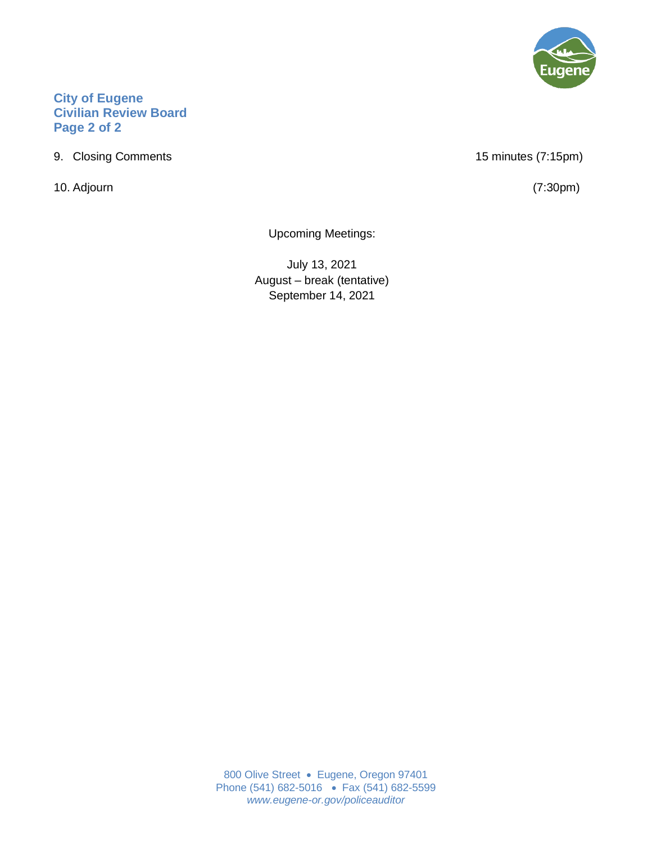## **City of Eugene Civilian Review Board Page 2 of 2**

9. Closing Comments 15 minutes (7:15pm)

10. Adjourn (7:30pm)

Upcoming Meetings:

July 13, 2021 August – break (tentative) September 14, 2021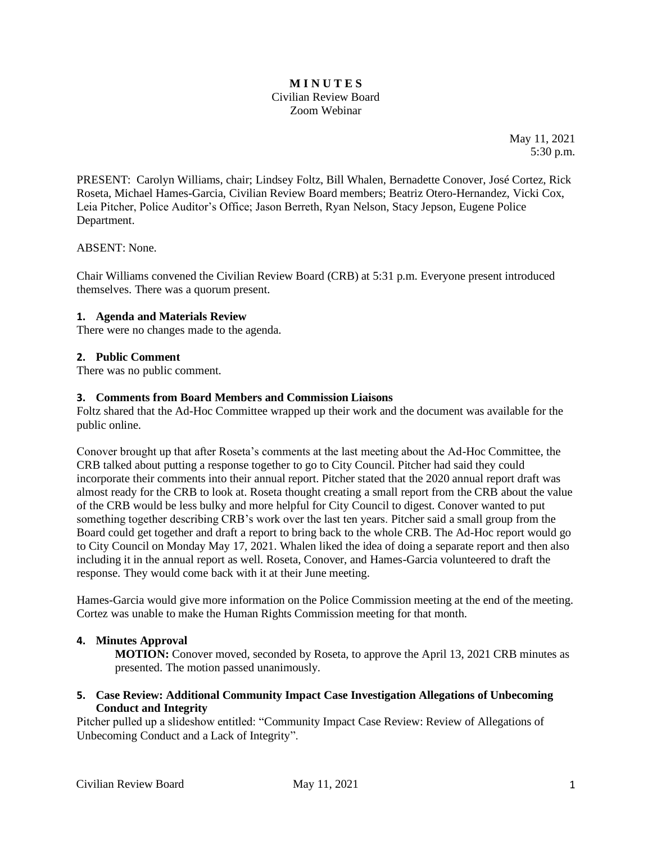#### **M I N U T E S** Civilian Review Board Zoom Webinar

May 11, 2021 5:30 p.m.

PRESENT: Carolyn Williams, chair; Lindsey Foltz, Bill Whalen, Bernadette Conover, José Cortez, Rick Roseta, Michael Hames-Garcia, Civilian Review Board members; Beatriz Otero-Hernandez, Vicki Cox, Leia Pitcher, Police Auditor's Office; Jason Berreth, Ryan Nelson, Stacy Jepson, Eugene Police Department.

## ABSENT: None.

Chair Williams convened the Civilian Review Board (CRB) at 5:31 p.m. Everyone present introduced themselves. There was a quorum present.

## **1. Agenda and Materials Review**

There were no changes made to the agenda.

## **2. Public Comment**

There was no public comment.

## **3. Comments from Board Members and Commission Liaisons**

Foltz shared that the Ad-Hoc Committee wrapped up their work and the document was available for the public online.

Conover brought up that after Roseta's comments at the last meeting about the Ad-Hoc Committee, the CRB talked about putting a response together to go to City Council. Pitcher had said they could incorporate their comments into their annual report. Pitcher stated that the 2020 annual report draft was almost ready for the CRB to look at. Roseta thought creating a small report from the CRB about the value of the CRB would be less bulky and more helpful for City Council to digest. Conover wanted to put something together describing CRB's work over the last ten years. Pitcher said a small group from the Board could get together and draft a report to bring back to the whole CRB. The Ad-Hoc report would go to City Council on Monday May 17, 2021. Whalen liked the idea of doing a separate report and then also including it in the annual report as well. Roseta, Conover, and Hames-Garcia volunteered to draft the response. They would come back with it at their June meeting.

Hames-Garcia would give more information on the Police Commission meeting at the end of the meeting. Cortez was unable to make the Human Rights Commission meeting for that month.

## **4. Minutes Approval**

**MOTION:** Conover moved, seconded by Roseta, to approve the April 13, 2021 CRB minutes as presented. The motion passed unanimously.

## **5. Case Review: Additional Community Impact Case Investigation Allegations of Unbecoming Conduct and Integrity**

Pitcher pulled up a slideshow entitled: "Community Impact Case Review: Review of Allegations of Unbecoming Conduct and a Lack of Integrity".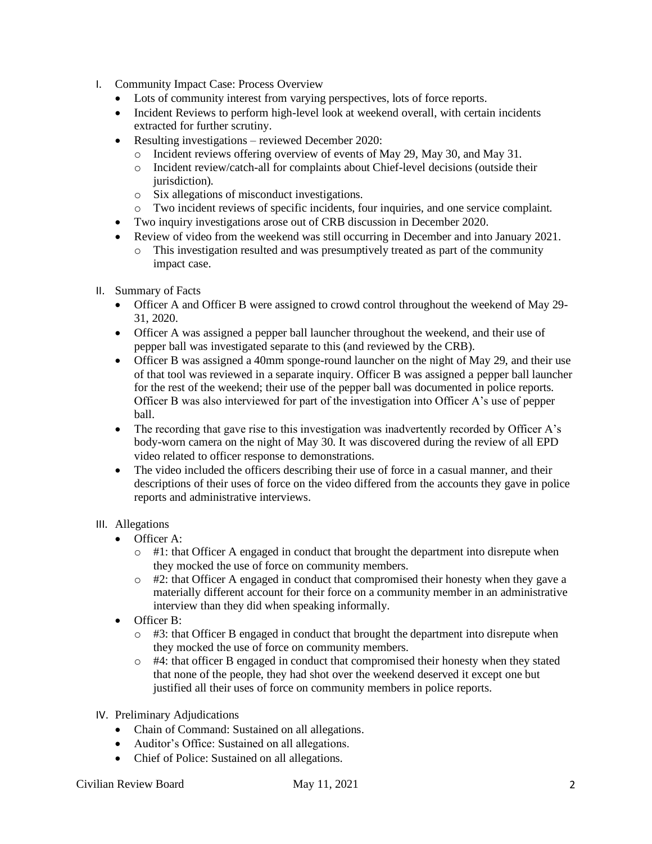- I. Community Impact Case: Process Overview
	- Lots of community interest from varying perspectives, lots of force reports.
	- Incident Reviews to perform high-level look at weekend overall, with certain incidents extracted for further scrutiny.
	- Resulting investigations reviewed December 2020:
		- o Incident reviews offering overview of events of May 29, May 30, and May 31.
		- o Incident review/catch-all for complaints about Chief-level decisions (outside their jurisdiction).
		- o Six allegations of misconduct investigations.
		- o Two incident reviews of specific incidents, four inquiries, and one service complaint.
	- Two inquiry investigations arose out of CRB discussion in December 2020.
	- Review of video from the weekend was still occurring in December and into January 2021.
		- o This investigation resulted and was presumptively treated as part of the community impact case.
- II. Summary of Facts
	- Officer A and Officer B were assigned to crowd control throughout the weekend of May 29- 31, 2020.
	- Officer A was assigned a pepper ball launcher throughout the weekend, and their use of pepper ball was investigated separate to this (and reviewed by the CRB).
	- Officer B was assigned a 40mm sponge-round launcher on the night of May 29, and their use of that tool was reviewed in a separate inquiry. Officer B was assigned a pepper ball launcher for the rest of the weekend; their use of the pepper ball was documented in police reports. Officer B was also interviewed for part of the investigation into Officer A's use of pepper ball.
	- The recording that gave rise to this investigation was inadvertently recorded by Officer A's body-worn camera on the night of May 30. It was discovered during the review of all EPD video related to officer response to demonstrations.
	- The video included the officers describing their use of force in a casual manner, and their descriptions of their uses of force on the video differed from the accounts they gave in police reports and administrative interviews.

## III. Allegations

- Officer A:
	- $\circ$  #1: that Officer A engaged in conduct that brought the department into disrepute when they mocked the use of force on community members.
	- $\circ$  #2: that Officer A engaged in conduct that compromised their honesty when they gave a materially different account for their force on a community member in an administrative interview than they did when speaking informally.
- Officer B:
	- $\circ$  #3: that Officer B engaged in conduct that brought the department into disrepute when they mocked the use of force on community members.
	- $\circ$  #4: that officer B engaged in conduct that compromised their honesty when they stated that none of the people, they had shot over the weekend deserved it except one but justified all their uses of force on community members in police reports.
- IV. Preliminary Adjudications
	- Chain of Command: Sustained on all allegations.
	- Auditor's Office: Sustained on all allegations.
	- Chief of Police: Sustained on all allegations.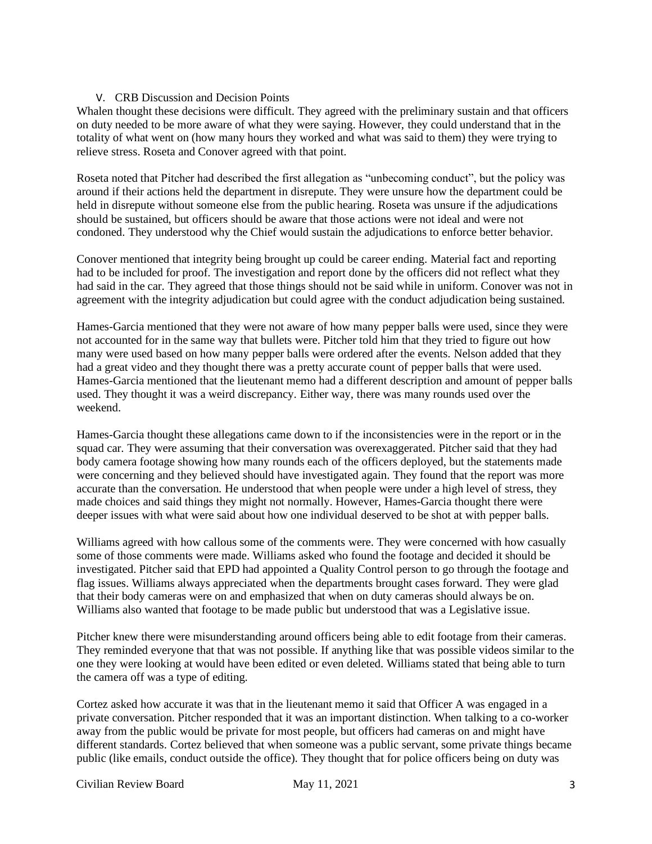## V. CRB Discussion and Decision Points

Whalen thought these decisions were difficult. They agreed with the preliminary sustain and that officers on duty needed to be more aware of what they were saying. However, they could understand that in the totality of what went on (how many hours they worked and what was said to them) they were trying to relieve stress. Roseta and Conover agreed with that point.

Roseta noted that Pitcher had described the first allegation as "unbecoming conduct", but the policy was around if their actions held the department in disrepute. They were unsure how the department could be held in disrepute without someone else from the public hearing. Roseta was unsure if the adjudications should be sustained, but officers should be aware that those actions were not ideal and were not condoned. They understood why the Chief would sustain the adjudications to enforce better behavior.

Conover mentioned that integrity being brought up could be career ending. Material fact and reporting had to be included for proof. The investigation and report done by the officers did not reflect what they had said in the car. They agreed that those things should not be said while in uniform. Conover was not in agreement with the integrity adjudication but could agree with the conduct adjudication being sustained.

Hames-Garcia mentioned that they were not aware of how many pepper balls were used, since they were not accounted for in the same way that bullets were. Pitcher told him that they tried to figure out how many were used based on how many pepper balls were ordered after the events. Nelson added that they had a great video and they thought there was a pretty accurate count of pepper balls that were used. Hames-Garcia mentioned that the lieutenant memo had a different description and amount of pepper balls used. They thought it was a weird discrepancy. Either way, there was many rounds used over the weekend.

Hames-Garcia thought these allegations came down to if the inconsistencies were in the report or in the squad car. They were assuming that their conversation was overexaggerated. Pitcher said that they had body camera footage showing how many rounds each of the officers deployed, but the statements made were concerning and they believed should have investigated again. They found that the report was more accurate than the conversation. He understood that when people were under a high level of stress, they made choices and said things they might not normally. However, Hames-Garcia thought there were deeper issues with what were said about how one individual deserved to be shot at with pepper balls.

Williams agreed with how callous some of the comments were. They were concerned with how casually some of those comments were made. Williams asked who found the footage and decided it should be investigated. Pitcher said that EPD had appointed a Quality Control person to go through the footage and flag issues. Williams always appreciated when the departments brought cases forward. They were glad that their body cameras were on and emphasized that when on duty cameras should always be on. Williams also wanted that footage to be made public but understood that was a Legislative issue.

Pitcher knew there were misunderstanding around officers being able to edit footage from their cameras. They reminded everyone that that was not possible. If anything like that was possible videos similar to the one they were looking at would have been edited or even deleted. Williams stated that being able to turn the camera off was a type of editing.

Cortez asked how accurate it was that in the lieutenant memo it said that Officer A was engaged in a private conversation. Pitcher responded that it was an important distinction. When talking to a co-worker away from the public would be private for most people, but officers had cameras on and might have different standards. Cortez believed that when someone was a public servant, some private things became public (like emails, conduct outside the office). They thought that for police officers being on duty was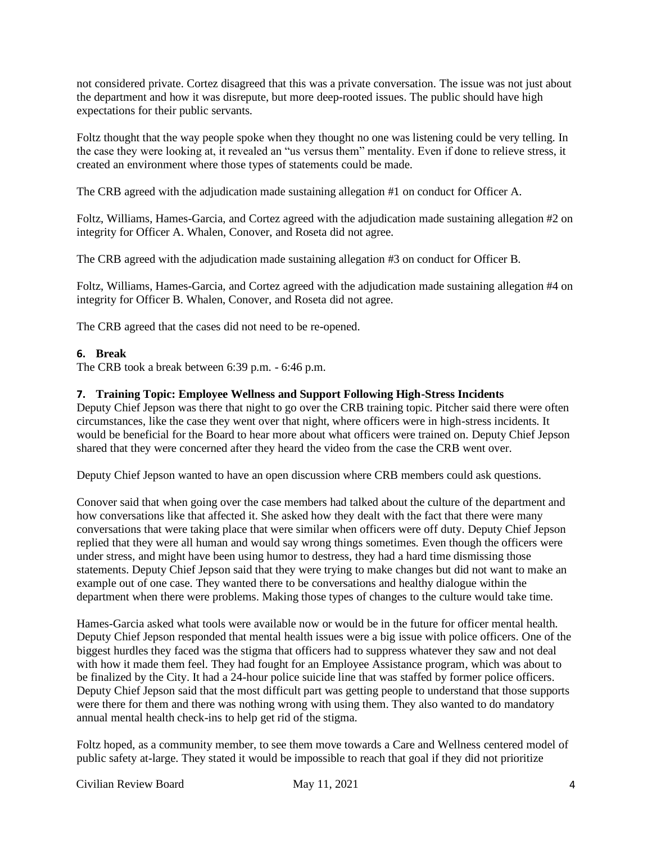not considered private. Cortez disagreed that this was a private conversation. The issue was not just about the department and how it was disrepute, but more deep-rooted issues. The public should have high expectations for their public servants.

Foltz thought that the way people spoke when they thought no one was listening could be very telling. In the case they were looking at, it revealed an "us versus them" mentality. Even if done to relieve stress, it created an environment where those types of statements could be made.

The CRB agreed with the adjudication made sustaining allegation #1 on conduct for Officer A.

Foltz, Williams, Hames-Garcia, and Cortez agreed with the adjudication made sustaining allegation #2 on integrity for Officer A. Whalen, Conover, and Roseta did not agree.

The CRB agreed with the adjudication made sustaining allegation #3 on conduct for Officer B.

Foltz, Williams, Hames-Garcia, and Cortez agreed with the adjudication made sustaining allegation #4 on integrity for Officer B. Whalen, Conover, and Roseta did not agree.

The CRB agreed that the cases did not need to be re-opened.

## **6. Break**

The CRB took a break between 6:39 p.m. - 6:46 p.m.

## **7. Training Topic: Employee Wellness and Support Following High-Stress Incidents**

Deputy Chief Jepson was there that night to go over the CRB training topic. Pitcher said there were often circumstances, like the case they went over that night, where officers were in high-stress incidents. It would be beneficial for the Board to hear more about what officers were trained on. Deputy Chief Jepson shared that they were concerned after they heard the video from the case the CRB went over.

Deputy Chief Jepson wanted to have an open discussion where CRB members could ask questions.

Conover said that when going over the case members had talked about the culture of the department and how conversations like that affected it. She asked how they dealt with the fact that there were many conversations that were taking place that were similar when officers were off duty. Deputy Chief Jepson replied that they were all human and would say wrong things sometimes. Even though the officers were under stress, and might have been using humor to destress, they had a hard time dismissing those statements. Deputy Chief Jepson said that they were trying to make changes but did not want to make an example out of one case. They wanted there to be conversations and healthy dialogue within the department when there were problems. Making those types of changes to the culture would take time.

Hames-Garcia asked what tools were available now or would be in the future for officer mental health. Deputy Chief Jepson responded that mental health issues were a big issue with police officers. One of the biggest hurdles they faced was the stigma that officers had to suppress whatever they saw and not deal with how it made them feel. They had fought for an Employee Assistance program, which was about to be finalized by the City. It had a 24-hour police suicide line that was staffed by former police officers. Deputy Chief Jepson said that the most difficult part was getting people to understand that those supports were there for them and there was nothing wrong with using them. They also wanted to do mandatory annual mental health check-ins to help get rid of the stigma.

Foltz hoped, as a community member, to see them move towards a Care and Wellness centered model of public safety at-large. They stated it would be impossible to reach that goal if they did not prioritize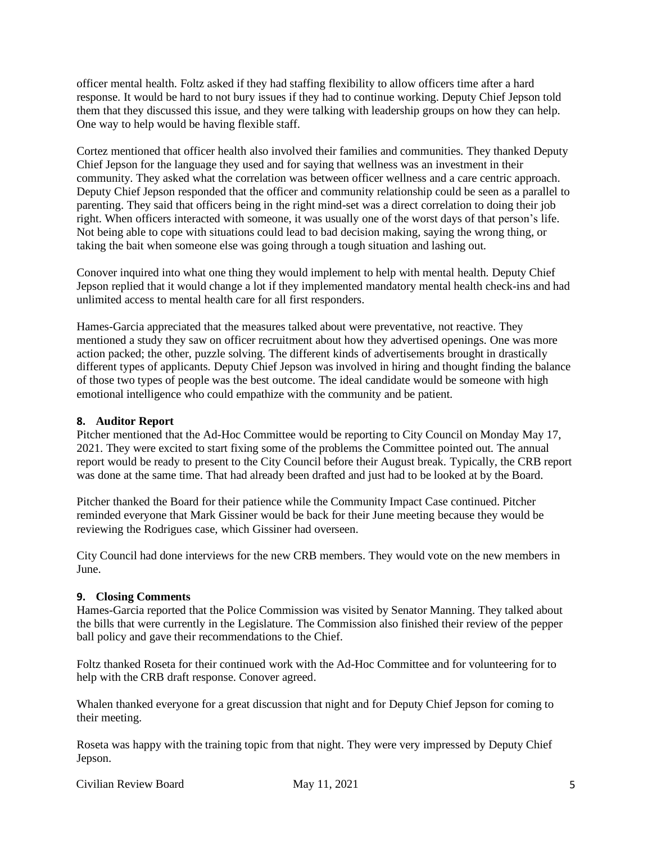officer mental health. Foltz asked if they had staffing flexibility to allow officers time after a hard response. It would be hard to not bury issues if they had to continue working. Deputy Chief Jepson told them that they discussed this issue, and they were talking with leadership groups on how they can help. One way to help would be having flexible staff.

Cortez mentioned that officer health also involved their families and communities. They thanked Deputy Chief Jepson for the language they used and for saying that wellness was an investment in their community. They asked what the correlation was between officer wellness and a care centric approach. Deputy Chief Jepson responded that the officer and community relationship could be seen as a parallel to parenting. They said that officers being in the right mind-set was a direct correlation to doing their job right. When officers interacted with someone, it was usually one of the worst days of that person's life. Not being able to cope with situations could lead to bad decision making, saying the wrong thing, or taking the bait when someone else was going through a tough situation and lashing out.

Conover inquired into what one thing they would implement to help with mental health. Deputy Chief Jepson replied that it would change a lot if they implemented mandatory mental health check-ins and had unlimited access to mental health care for all first responders.

Hames-Garcia appreciated that the measures talked about were preventative, not reactive. They mentioned a study they saw on officer recruitment about how they advertised openings. One was more action packed; the other, puzzle solving. The different kinds of advertisements brought in drastically different types of applicants. Deputy Chief Jepson was involved in hiring and thought finding the balance of those two types of people was the best outcome. The ideal candidate would be someone with high emotional intelligence who could empathize with the community and be patient.

#### **8. Auditor Report**

Pitcher mentioned that the Ad-Hoc Committee would be reporting to City Council on Monday May 17, 2021. They were excited to start fixing some of the problems the Committee pointed out. The annual report would be ready to present to the City Council before their August break. Typically, the CRB report was done at the same time. That had already been drafted and just had to be looked at by the Board.

Pitcher thanked the Board for their patience while the Community Impact Case continued. Pitcher reminded everyone that Mark Gissiner would be back for their June meeting because they would be reviewing the Rodrigues case, which Gissiner had overseen.

City Council had done interviews for the new CRB members. They would vote on the new members in June.

## **9. Closing Comments**

Hames-Garcia reported that the Police Commission was visited by Senator Manning. They talked about the bills that were currently in the Legislature. The Commission also finished their review of the pepper ball policy and gave their recommendations to the Chief.

Foltz thanked Roseta for their continued work with the Ad-Hoc Committee and for volunteering for to help with the CRB draft response. Conover agreed.

Whalen thanked everyone for a great discussion that night and for Deputy Chief Jepson for coming to their meeting.

Roseta was happy with the training topic from that night. They were very impressed by Deputy Chief Jepson.

Civilian Review Board May 11, 2021 5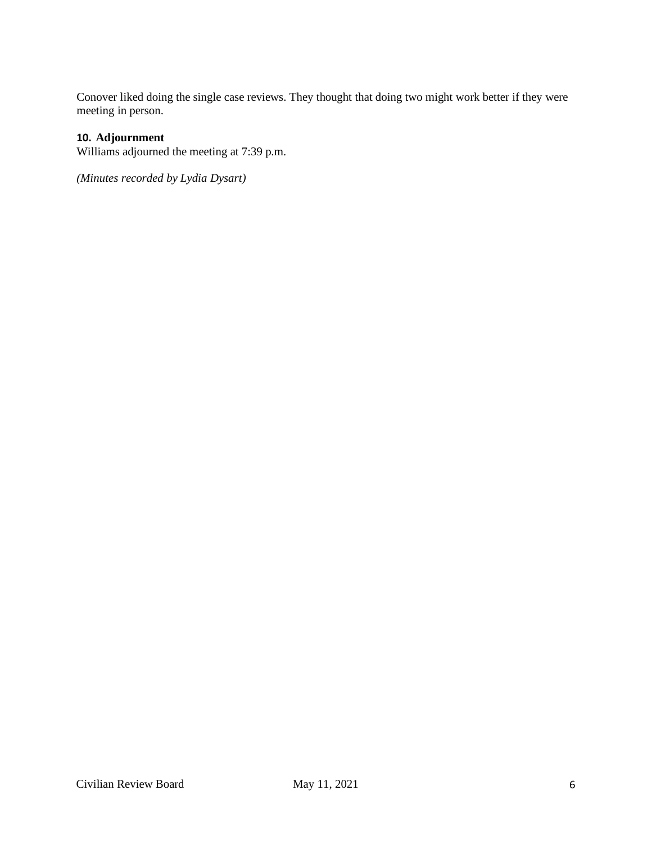Conover liked doing the single case reviews. They thought that doing two might work better if they were meeting in person.

## **10. Adjournment**

Williams adjourned the meeting at 7:39 p.m.

*(Minutes recorded by Lydia Dysart)*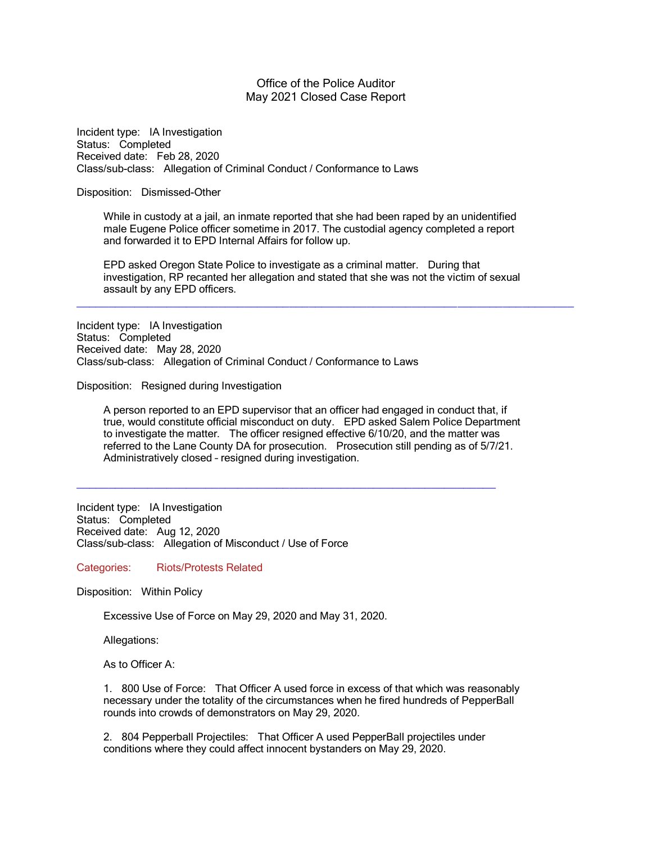#### Office of the Police Auditor May 2021 Closed Case Report

Incident type: IA Investigation Status: Completed Received date: Feb 28, 2020 Class/sub-class: Allegation of Criminal Conduct / Conformance to Laws

#### Disposition: Dismissed-Other

While in custody at a jail, an inmate reported that she had been raped by an unidentified male Eugene Police officer sometime in 2017. The custodial agency completed a report and forwarded it to EPD Internal Affairs for follow up.

EPD asked Oregon State Police to investigate as a criminal matter. During that investigation, RP recanted her allegation and stated that she was not the victim of sexual assault by any EPD officers.

\_\_\_\_\_\_\_\_\_\_\_\_\_\_\_\_\_\_\_\_\_\_\_\_\_\_\_\_\_\_\_\_\_\_\_\_\_\_\_\_\_\_\_\_\_\_\_\_\_\_\_\_\_\_\_\_\_\_\_\_\_\_\_\_\_\_\_\_\_\_\_\_\_\_\_\_\_

Incident type: IA Investigation Status: Completed Received date: May 28, 2020 Class/sub-class: Allegation of Criminal Conduct / Conformance to Laws

Disposition: Resigned during Investigation

A person reported to an EPD supervisor that an officer had engaged in conduct that, if true, would constitute official misconduct on duty. EPD asked Salem Police Department to investigate the matter. The officer resigned effective 6/10/20, and the matter was referred to the Lane County DA for prosecution. Prosecution still pending as of 5/7/21. Administratively closed – resigned during investigation.

\_\_\_\_\_\_\_\_\_\_\_\_\_\_\_\_\_\_\_\_\_\_\_\_\_\_\_\_\_\_\_\_\_\_\_\_\_\_\_\_\_\_\_\_\_\_\_\_\_\_\_\_\_\_\_\_\_\_\_\_\_\_\_\_\_

Incident type: IA Investigation Status: Completed Received date: Aug 12, 2020 Class/sub-class: Allegation of Misconduct / Use of Force

Categories: Riots/Protests Related

Disposition: Within Policy

Excessive Use of Force on May 29, 2020 and May 31, 2020.

Allegations:

As to Officer A:

1. 800 Use of Force: That Officer A used force in excess of that which was reasonably necessary under the totality of the circumstances when he fired hundreds of PepperBall rounds into crowds of demonstrators on May 29, 2020.

2. 804 Pepperball Projectiles: That Officer A used PepperBall projectiles under conditions where they could affect innocent bystanders on May 29, 2020.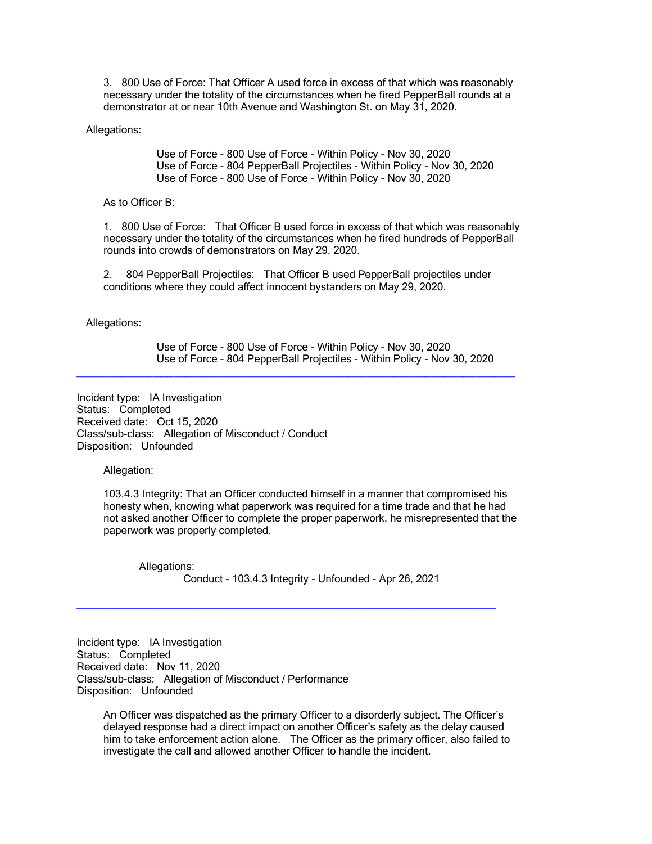3. 800 Use of Force: That Officer A used force in excess of that which was reasonably necessary under the totality of the circumstances when he fired PepperBall rounds at a demonstrator at or near 10th Avenue and Washington St. on May 31, 2020.

Allegations:

Use of Force - 800 Use of Force - Within Policy - Nov 30, 2020 Use of Force - 804 PepperBall Projectiles - Within Policy - Nov 30, 2020 Use of Force - 800 Use of Force - Within Policy - Nov 30, 2020

As to Officer B:

1. 800 Use of Force: That Officer B used force in excess of that which was reasonably necessary under the totality of the circumstances when he fired hundreds of PepperBall rounds into crowds of demonstrators on May 29, 2020.

2. 804 PepperBall Projectiles: That Officer B used PepperBall projectiles under conditions where they could affect innocent bystanders on May 29, 2020.

\_\_\_\_\_\_\_\_\_\_\_\_\_\_\_\_\_\_\_\_\_\_\_\_\_\_\_\_\_\_\_\_\_\_\_\_\_\_\_\_\_\_\_\_\_\_\_\_\_\_\_\_\_\_\_\_\_\_\_\_\_\_\_\_\_\_\_\_

Allegations:

Use of Force - 800 Use of Force - Within Policy - Nov 30, 2020 Use of Force - 804 PepperBall Projectiles - Within Policy - Nov 30, 2020

Incident type: IA Investigation Status: Completed Received date: Oct 15, 2020 Class/sub-class: Allegation of Misconduct / Conduct Disposition: Unfounded

Allegation:

103.4.3 Integrity: That an Officer conducted himself in a manner that compromised his honesty when, knowing what paperwork was required for a time trade and that he had not asked another Officer to complete the proper paperwork, he misrepresented that the paperwork was properly completed.

 Allegations: Conduct - 103.4.3 Integrity - Unfounded - Apr 26, 2021

\_\_\_\_\_\_\_\_\_\_\_\_\_\_\_\_\_\_\_\_\_\_\_\_\_\_\_\_\_\_\_\_\_\_\_\_\_\_\_\_\_\_\_\_\_\_\_\_\_\_\_\_\_\_\_\_\_\_\_\_\_\_\_\_\_

Incident type: IA Investigation Status: Completed Received date: Nov 11, 2020 Class/sub-class: Allegation of Misconduct / Performance Disposition: Unfounded

An Officer was dispatched as the primary Officer to a disorderly subject. The Officer's delayed response had a direct impact on another Officer's safety as the delay caused him to take enforcement action alone. The Officer as the primary officer, also failed to investigate the call and allowed another Officer to handle the incident.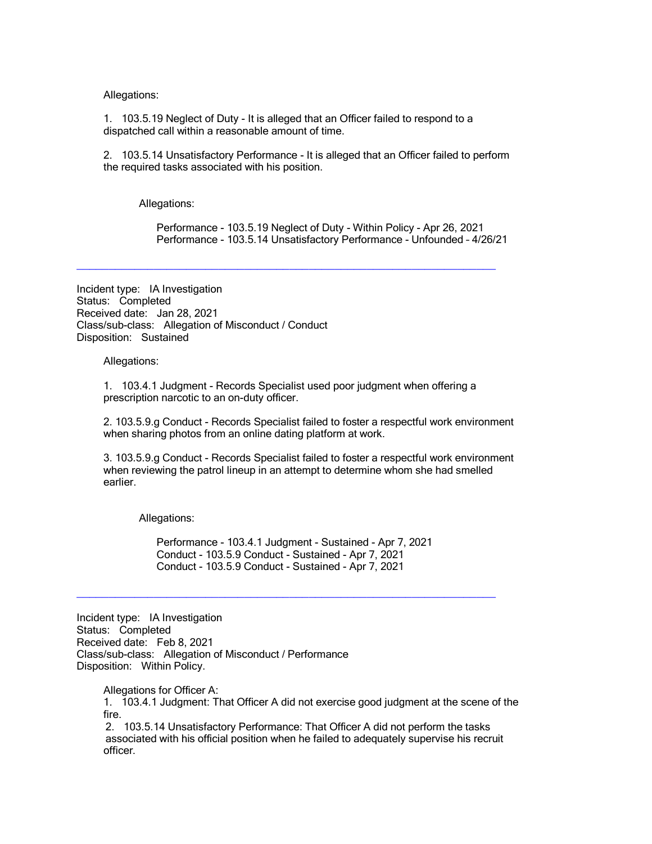Allegations:

1. 103.5.19 Neglect of Duty - It is alleged that an Officer failed to respond to a dispatched call within a reasonable amount of time.

2. 103.5.14 Unsatisfactory Performance - It is alleged that an Officer failed to perform the required tasks associated with his position.

Allegations:

Performance - 103.5.19 Neglect of Duty - Within Policy - Apr 26, 2021 Performance - 103.5.14 Unsatisfactory Performance - Unfounded – 4/26/21

Incident type: IA Investigation Status: Completed Received date: Jan 28, 2021 Class/sub-class: Allegation of Misconduct / Conduct Disposition: Sustained

Allegations:

1. 103.4.1 Judgment - Records Specialist used poor judgment when offering a prescription narcotic to an on-duty officer.

\_\_\_\_\_\_\_\_\_\_\_\_\_\_\_\_\_\_\_\_\_\_\_\_\_\_\_\_\_\_\_\_\_\_\_\_\_\_\_\_\_\_\_\_\_\_\_\_\_\_\_\_\_\_\_\_\_\_\_\_\_\_\_\_\_

2. 103.5.9.g Conduct - Records Specialist failed to foster a respectful work environment when sharing photos from an online dating platform at work.

3. 103.5.9.g Conduct - Records Specialist failed to foster a respectful work environment when reviewing the patrol lineup in an attempt to determine whom she had smelled earlier.

Allegations:

Performance - 103.4.1 Judgment - Sustained - Apr 7, 2021 Conduct - 103.5.9 Conduct - Sustained - Apr 7, 2021 Conduct - 103.5.9 Conduct - Sustained - Apr 7, 2021

\_\_\_\_\_\_\_\_\_\_\_\_\_\_\_\_\_\_\_\_\_\_\_\_\_\_\_\_\_\_\_\_\_\_\_\_\_\_\_\_\_\_\_\_\_\_\_\_\_\_\_\_\_\_\_\_\_\_\_\_\_\_\_\_\_

Incident type: IA Investigation Status: Completed Received date: Feb 8, 2021 Class/sub-class: Allegation of Misconduct / Performance Disposition: Within Policy.

Allegations for Officer A: 1. 103.4.1 Judgment: That Officer A did not exercise good judgment at the scene of the fire.

2. 103.5.14 Unsatisfactory Performance: That Officer A did not perform the tasks associated with his official position when he failed to adequately supervise his recruit officer.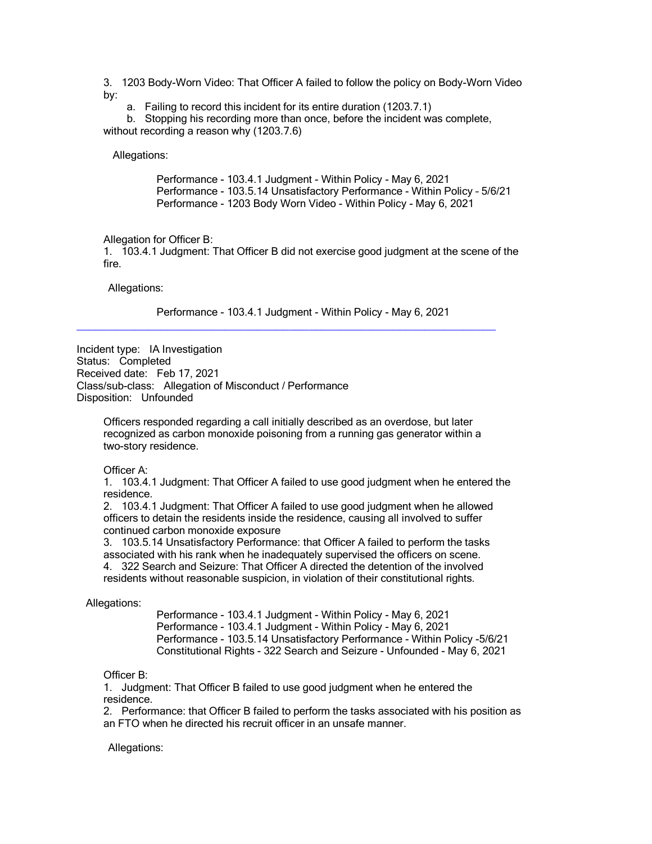3. 1203 Body-Worn Video: That Officer A failed to follow the policy on Body-Worn Video by:

a. Failing to record this incident for its entire duration (1203.7.1)

 b. Stopping his recording more than once, before the incident was complete, without recording a reason why (1203.7.6)

Allegations:

Performance - 103.4.1 Judgment - Within Policy - May 6, 2021 Performance - 103.5.14 Unsatisfactory Performance - Within Policy – 5/6/21 Performance - 1203 Body Worn Video - Within Policy - May 6, 2021

Allegation for Officer B:

1. 103.4.1 Judgment: That Officer B did not exercise good judgment at the scene of the fire.

Allegations:

Performance - 103.4.1 Judgment - Within Policy - May 6, 2021

\_\_\_\_\_\_\_\_\_\_\_\_\_\_\_\_\_\_\_\_\_\_\_\_\_\_\_\_\_\_\_\_\_\_\_\_\_\_\_\_\_\_\_\_\_\_\_\_\_\_\_\_\_\_\_\_\_\_\_\_\_\_\_\_\_

Incident type: IA Investigation Status: Completed Received date: Feb 17, 2021 Class/sub-class: Allegation of Misconduct / Performance Disposition: Unfounded

Officers responded regarding a call initially described as an overdose, but later recognized as carbon monoxide poisoning from a running gas generator within a two-story residence.

Officer A:

1. 103.4.1 Judgment: That Officer A failed to use good judgment when he entered the residence.

2. 103.4.1 Judgment: That Officer A failed to use good judgment when he allowed officers to detain the residents inside the residence, causing all involved to suffer continued carbon monoxide exposure

3. 103.5.14 Unsatisfactory Performance: that Officer A failed to perform the tasks associated with his rank when he inadequately supervised the officers on scene. 4. 322 Search and Seizure: That Officer A directed the detention of the involved residents without reasonable suspicion, in violation of their constitutional rights.

Allegations:

Performance - 103.4.1 Judgment - Within Policy - May 6, 2021 Performance - 103.4.1 Judgment - Within Policy - May 6, 2021 Performance - 103.5.14 Unsatisfactory Performance - Within Policy -5/6/21 Constitutional Rights - 322 Search and Seizure - Unfounded - May 6, 2021

Officer B:

1. Judgment: That Officer B failed to use good judgment when he entered the residence.

2. Performance: that Officer B failed to perform the tasks associated with his position as an FTO when he directed his recruit officer in an unsafe manner.

Allegations: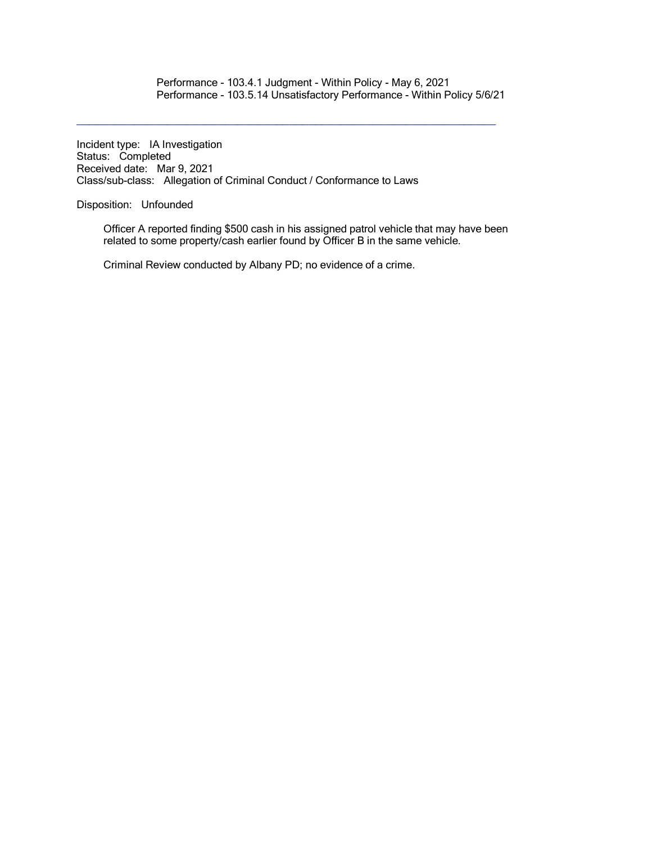Performance - 103.4.1 Judgment - Within Policy - May 6, 2021 Performance - 103.5.14 Unsatisfactory Performance - Within Policy 5/6/21

Incident type: IA Investigation Status: Completed Received date: Mar 9, 2021 Class/sub-class: Allegation of Criminal Conduct / Conformance to Laws

Disposition: Unfounded

Officer A reported finding \$500 cash in his assigned patrol vehicle that may have been related to some property/cash earlier found by Officer B in the same vehicle.

\_\_\_\_\_\_\_\_\_\_\_\_\_\_\_\_\_\_\_\_\_\_\_\_\_\_\_\_\_\_\_\_\_\_\_\_\_\_\_\_\_\_\_\_\_\_\_\_\_\_\_\_\_\_\_\_\_\_\_\_\_\_\_\_\_

Criminal Review conducted by Albany PD; no evidence of a crime.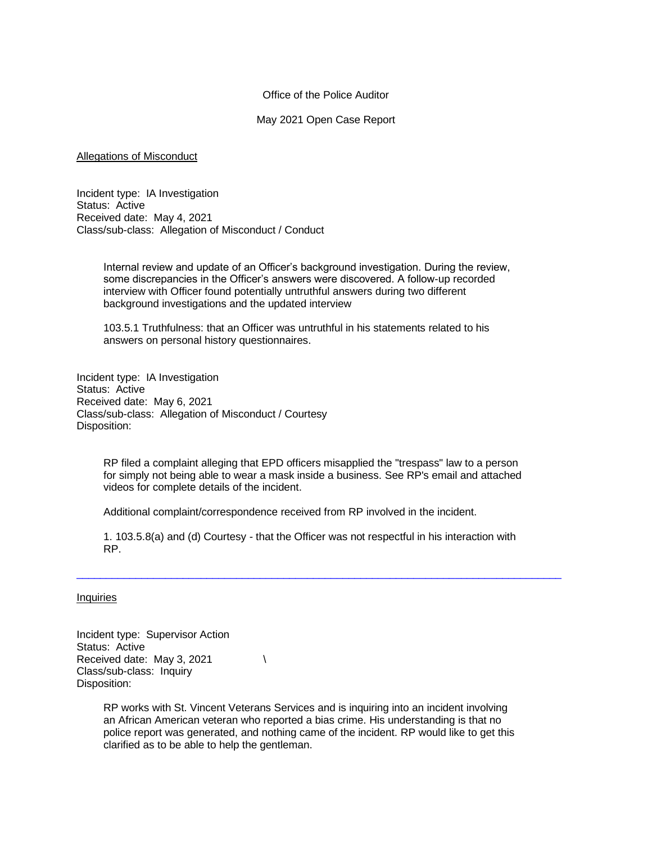#### Office of the Police Auditor

#### May 2021 Open Case Report

#### Allegations of Misconduct

Incident type: IA Investigation Status: Active Received date: May 4, 2021 Class/sub-class: Allegation of Misconduct / Conduct

> Internal review and update of an Officer's background investigation. During the review, some discrepancies in the Officer's answers were discovered. A follow-up recorded interview with Officer found potentially untruthful answers during two different background investigations and the updated interview

103.5.1 Truthfulness: that an Officer was untruthful in his statements related to his answers on personal history questionnaires.

Incident type: IA Investigation Status: Active Received date: May 6, 2021 Class/sub-class: Allegation of Misconduct / Courtesy Disposition:

> RP filed a complaint alleging that EPD officers misapplied the "trespass" law to a person for simply not being able to wear a mask inside a business. See RP's email and attached videos for complete details of the incident.

Additional complaint/correspondence received from RP involved in the incident.

1. 103.5.8(a) and (d) Courtesy - that the Officer was not respectful in his interaction with RP.

 $\_$  ,  $\_$  ,  $\_$  ,  $\_$  ,  $\_$  ,  $\_$  ,  $\_$  ,  $\_$  ,  $\_$  ,  $\_$  ,  $\_$  ,  $\_$  ,  $\_$  ,  $\_$  ,  $\_$  ,  $\_$  ,  $\_$  ,  $\_$  ,  $\_$  ,  $\_$  ,  $\_$  ,  $\_$  ,  $\_$  ,  $\_$  ,  $\_$  ,  $\_$  ,  $\_$  ,  $\_$  ,  $\_$  ,  $\_$  ,  $\_$  ,  $\_$  ,  $\_$  ,  $\_$  ,  $\_$  ,  $\_$  ,  $\_$  ,

#### **Inquiries**

Incident type: Supervisor Action Status: Active Received date: May 3, 2021  $\sqrt{ }$ Class/sub-class: Inquiry Disposition:

> RP works with St. Vincent Veterans Services and is inquiring into an incident involving an African American veteran who reported a bias crime. His understanding is that no police report was generated, and nothing came of the incident. RP would like to get this clarified as to be able to help the gentleman.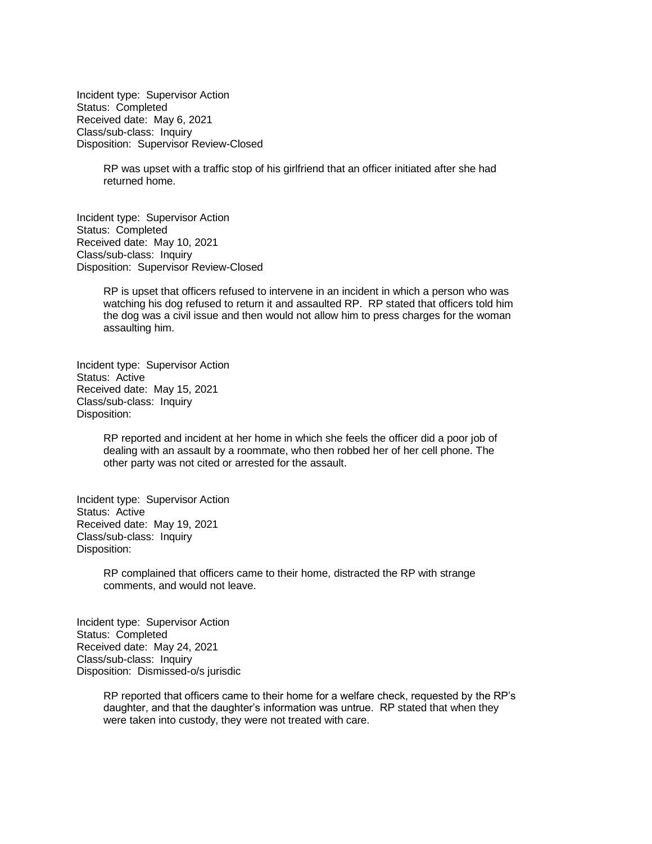Incident type: Supervisor Action Status: Completed Received date: May 6, 2021 Class/sub-class: Inquiry Disposition: Supervisor Review-Closed

> RP was upset with a traffic stop of his girlfriend that an officer initiated after she had returned home.

Incident type: Supervisor Action Status: Completed Received date: May 10, 2021 Class/sub-class: Inquiry Disposition: Supervisor Review-Closed

> RP is upset that officers refused to intervene in an incident in which a person who was watching his dog refused to return it and assaulted RP. RP stated that officers told him the dog was a civil issue and then would not allow him to press charges for the woman assaulting him.

Incident type: Supervisor Action Status: Active Received date: May 15, 2021 Class/sub-class: Inquiry Disposition:

> RP reported and incident at her home in which she feels the officer did a poor job of dealing with an assault by a roommate, who then robbed her of her cell phone. The other party was not cited or arrested for the assault.

Incident type: Supervisor Action Status: Active Received date: May 19, 2021 Class/sub-class: Inquiry Disposition:

> RP complained that officers came to their home, distracted the RP with strange comments, and would not leave.

Incident type: Supervisor Action Status: Completed Received date: May 24, 2021 Class/sub-class: Inquiry Disposition: Dismissed-o/s jurisdic

> RP reported that officers came to their home for a welfare check, requested by the RP's daughter, and that the daughter's information was untrue. RP stated that when they were taken into custody, they were not treated with care.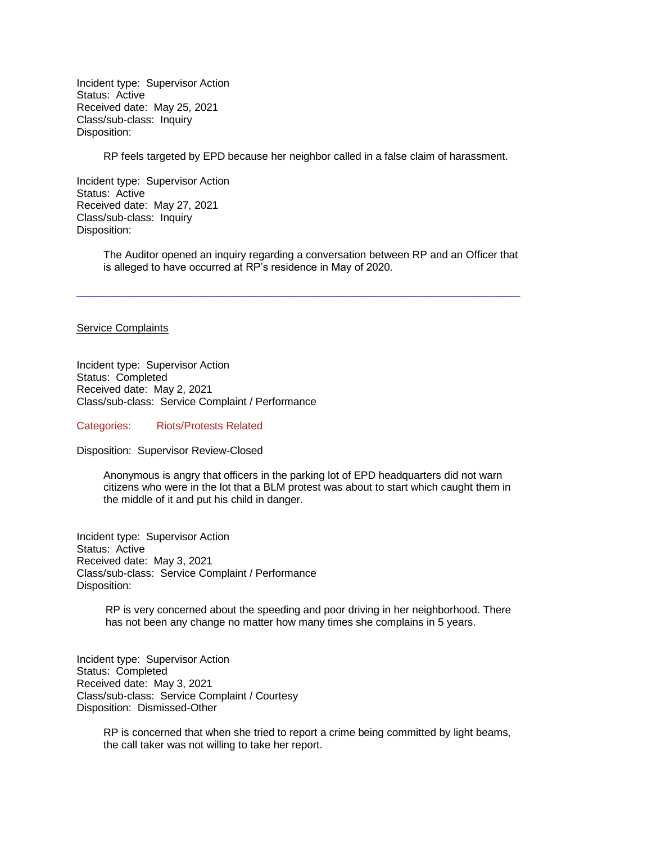Incident type: Supervisor Action Status: Active Received date: May 25, 2021 Class/sub-class: Inquiry Disposition:

RP feels targeted by EPD because her neighbor called in a false claim of harassment.

Incident type: Supervisor Action Status: Active Received date: May 27, 2021 Class/sub-class: Inquiry Disposition:

> The Auditor opened an inquiry regarding a conversation between RP and an Officer that is alleged to have occurred at RP's residence in May of 2020.

 $\Box$  . The contribution of the contribution of the contribution of the contribution of the contribution of the contribution of the contribution of the contribution of the contribution of the contribution of the contributi

#### Service Complaints

Incident type: Supervisor Action Status: Completed Received date: May 2, 2021 Class/sub-class: Service Complaint / Performance

Categories: Riots/Protests Related

Disposition: Supervisor Review-Closed

Anonymous is angry that officers in the parking lot of EPD headquarters did not warn citizens who were in the lot that a BLM protest was about to start which caught them in the middle of it and put his child in danger.

Incident type: Supervisor Action Status: Active Received date: May 3, 2021 Class/sub-class: Service Complaint / Performance Disposition:

> RP is very concerned about the speeding and poor driving in her neighborhood. There has not been any change no matter how many times she complains in 5 years.

Incident type: Supervisor Action Status: Completed Received date: May 3, 2021 Class/sub-class: Service Complaint / Courtesy Disposition: Dismissed-Other

> RP is concerned that when she tried to report a crime being committed by light beams, the call taker was not willing to take her report.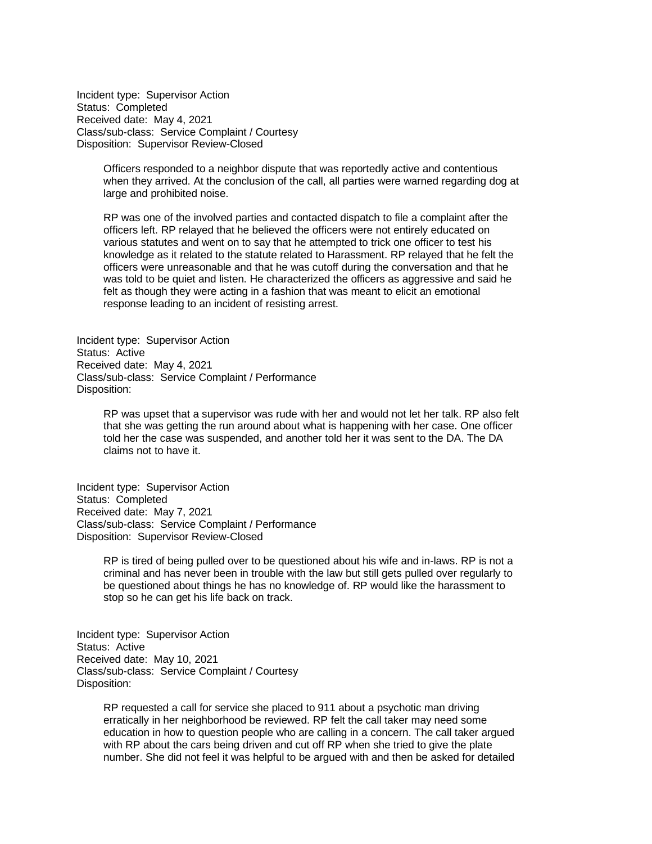Incident type: Supervisor Action Status: Completed Received date: May 4, 2021 Class/sub-class: Service Complaint / Courtesy Disposition: Supervisor Review-Closed

> Officers responded to a neighbor dispute that was reportedly active and contentious when they arrived. At the conclusion of the call, all parties were warned regarding dog at large and prohibited noise.

RP was one of the involved parties and contacted dispatch to file a complaint after the officers left. RP relayed that he believed the officers were not entirely educated on various statutes and went on to say that he attempted to trick one officer to test his knowledge as it related to the statute related to Harassment. RP relayed that he felt the officers were unreasonable and that he was cutoff during the conversation and that he was told to be quiet and listen. He characterized the officers as aggressive and said he felt as though they were acting in a fashion that was meant to elicit an emotional response leading to an incident of resisting arrest.

Incident type: Supervisor Action Status: Active Received date: May 4, 2021 Class/sub-class: Service Complaint / Performance Disposition:

> RP was upset that a supervisor was rude with her and would not let her talk. RP also felt that she was getting the run around about what is happening with her case. One officer told her the case was suspended, and another told her it was sent to the DA. The DA claims not to have it.

Incident type: Supervisor Action Status: Completed Received date: May 7, 2021 Class/sub-class: Service Complaint / Performance Disposition: Supervisor Review-Closed

> RP is tired of being pulled over to be questioned about his wife and in-laws. RP is not a criminal and has never been in trouble with the law but still gets pulled over regularly to be questioned about things he has no knowledge of. RP would like the harassment to stop so he can get his life back on track.

Incident type: Supervisor Action Status: Active Received date: May 10, 2021 Class/sub-class: Service Complaint / Courtesy Disposition:

> RP requested a call for service she placed to 911 about a psychotic man driving erratically in her neighborhood be reviewed. RP felt the call taker may need some education in how to question people who are calling in a concern. The call taker argued with RP about the cars being driven and cut off RP when she tried to give the plate number. She did not feel it was helpful to be argued with and then be asked for detailed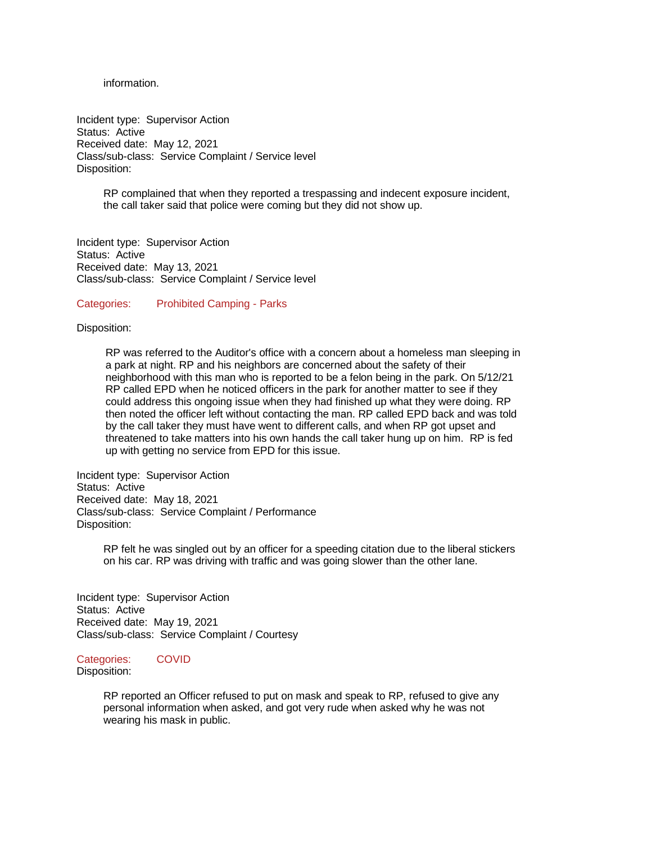information.

Incident type: Supervisor Action Status: Active Received date: May 12, 2021 Class/sub-class: Service Complaint / Service level Disposition:

> RP complained that when they reported a trespassing and indecent exposure incident, the call taker said that police were coming but they did not show up.

Incident type: Supervisor Action Status: Active Received date: May 13, 2021 Class/sub-class: Service Complaint / Service level

Categories: Prohibited Camping - Parks

Disposition:

RP was referred to the Auditor's office with a concern about a homeless man sleeping in a park at night. RP and his neighbors are concerned about the safety of their neighborhood with this man who is reported to be a felon being in the park. On 5/12/21 RP called EPD when he noticed officers in the park for another matter to see if they could address this ongoing issue when they had finished up what they were doing. RP then noted the officer left without contacting the man. RP called EPD back and was told by the call taker they must have went to different calls, and when RP got upset and threatened to take matters into his own hands the call taker hung up on him. RP is fed up with getting no service from EPD for this issue.

Incident type: Supervisor Action Status: Active Received date: May 18, 2021 Class/sub-class: Service Complaint / Performance Disposition:

> RP felt he was singled out by an officer for a speeding citation due to the liberal stickers on his car. RP was driving with traffic and was going slower than the other lane.

Incident type: Supervisor Action Status: Active Received date: May 19, 2021 Class/sub-class: Service Complaint / Courtesy

#### Categories: COVID

Disposition:

RP reported an Officer refused to put on mask and speak to RP, refused to give any personal information when asked, and got very rude when asked why he was not wearing his mask in public.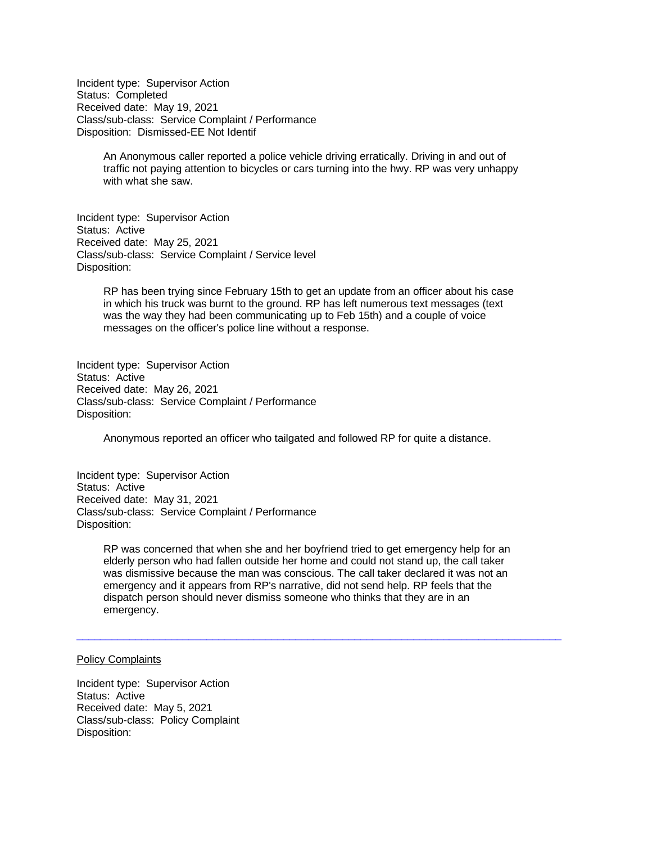Incident type: Supervisor Action Status: Completed Received date: May 19, 2021 Class/sub-class: Service Complaint / Performance Disposition: Dismissed-EE Not Identif

> An Anonymous caller reported a police vehicle driving erratically. Driving in and out of traffic not paying attention to bicycles or cars turning into the hwy. RP was very unhappy with what she saw.

Incident type: Supervisor Action Status: Active Received date: May 25, 2021 Class/sub-class: Service Complaint / Service level Disposition:

> RP has been trying since February 15th to get an update from an officer about his case in which his truck was burnt to the ground. RP has left numerous text messages (text was the way they had been communicating up to Feb 15th) and a couple of voice messages on the officer's police line without a response.

Incident type: Supervisor Action Status: Active Received date: May 26, 2021 Class/sub-class: Service Complaint / Performance Disposition:

Anonymous reported an officer who tailgated and followed RP for quite a distance.

Incident type: Supervisor Action Status: Active Received date: May 31, 2021 Class/sub-class: Service Complaint / Performance Disposition:

> RP was concerned that when she and her boyfriend tried to get emergency help for an elderly person who had fallen outside her home and could not stand up, the call taker was dismissive because the man was conscious. The call taker declared it was not an emergency and it appears from RP's narrative, did not send help. RP feels that the dispatch person should never dismiss someone who thinks that they are in an emergency.

 $\_$  ,  $\_$  ,  $\_$  ,  $\_$  ,  $\_$  ,  $\_$  ,  $\_$  ,  $\_$  ,  $\_$  ,  $\_$  ,  $\_$  ,  $\_$  ,  $\_$  ,  $\_$  ,  $\_$  ,  $\_$  ,  $\_$  ,  $\_$  ,  $\_$  ,  $\_$  ,  $\_$  ,  $\_$  ,  $\_$  ,  $\_$  ,  $\_$  ,  $\_$  ,  $\_$  ,  $\_$  ,  $\_$  ,  $\_$  ,  $\_$  ,  $\_$  ,  $\_$  ,  $\_$  ,  $\_$  ,  $\_$  ,  $\_$  ,

#### Policy Complaints

Incident type: Supervisor Action Status: Active Received date: May 5, 2021 Class/sub-class: Policy Complaint Disposition: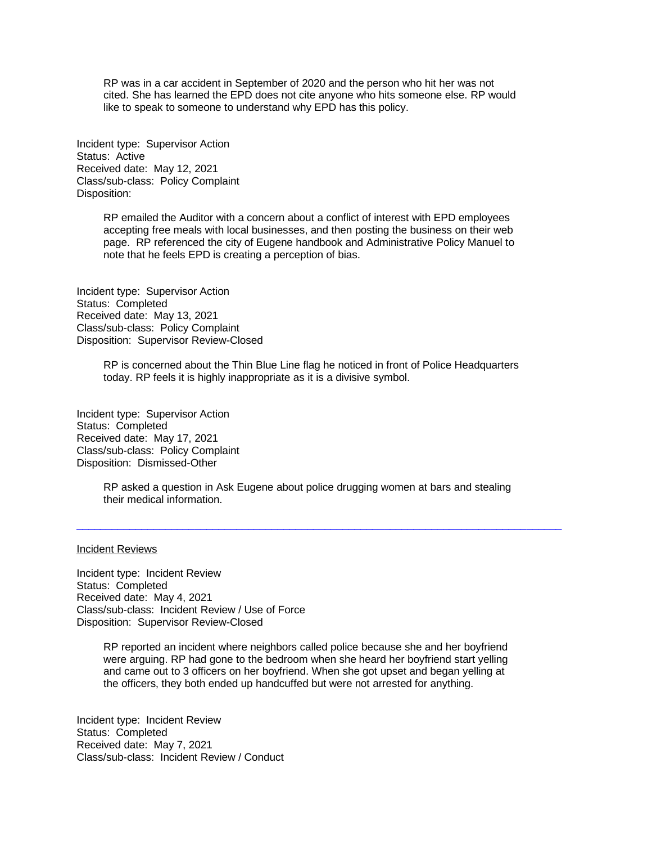RP was in a car accident in September of 2020 and the person who hit her was not cited. She has learned the EPD does not cite anyone who hits someone else. RP would like to speak to someone to understand why EPD has this policy.

Incident type: Supervisor Action Status: Active Received date: May 12, 2021 Class/sub-class: Policy Complaint Disposition:

> RP emailed the Auditor with a concern about a conflict of interest with EPD employees accepting free meals with local businesses, and then posting the business on their web page. RP referenced the city of Eugene handbook and Administrative Policy Manuel to note that he feels EPD is creating a perception of bias.

Incident type: Supervisor Action Status: Completed Received date: May 13, 2021 Class/sub-class: Policy Complaint Disposition: Supervisor Review-Closed

> RP is concerned about the Thin Blue Line flag he noticed in front of Police Headquarters today. RP feels it is highly inappropriate as it is a divisive symbol.

Incident type: Supervisor Action Status: Completed Received date: May 17, 2021 Class/sub-class: Policy Complaint Disposition: Dismissed-Other

> RP asked a question in Ask Eugene about police drugging women at bars and stealing their medical information.

 $\_$  ,  $\_$  ,  $\_$  ,  $\_$  ,  $\_$  ,  $\_$  ,  $\_$  ,  $\_$  ,  $\_$  ,  $\_$  ,  $\_$  ,  $\_$  ,  $\_$  ,  $\_$  ,  $\_$  ,  $\_$  ,  $\_$  ,  $\_$  ,  $\_$  ,  $\_$  ,  $\_$  ,  $\_$  ,  $\_$  ,  $\_$  ,  $\_$  ,  $\_$  ,  $\_$  ,  $\_$  ,  $\_$  ,  $\_$  ,  $\_$  ,  $\_$  ,  $\_$  ,  $\_$  ,  $\_$  ,  $\_$  ,  $\_$  ,

#### Incident Reviews

Incident type: Incident Review Status: Completed Received date: May 4, 2021 Class/sub-class: Incident Review / Use of Force Disposition: Supervisor Review-Closed

> RP reported an incident where neighbors called police because she and her boyfriend were arguing. RP had gone to the bedroom when she heard her boyfriend start yelling and came out to 3 officers on her boyfriend. When she got upset and began yelling at the officers, they both ended up handcuffed but were not arrested for anything.

Incident type: Incident Review Status: Completed Received date: May 7, 2021 Class/sub-class: Incident Review / Conduct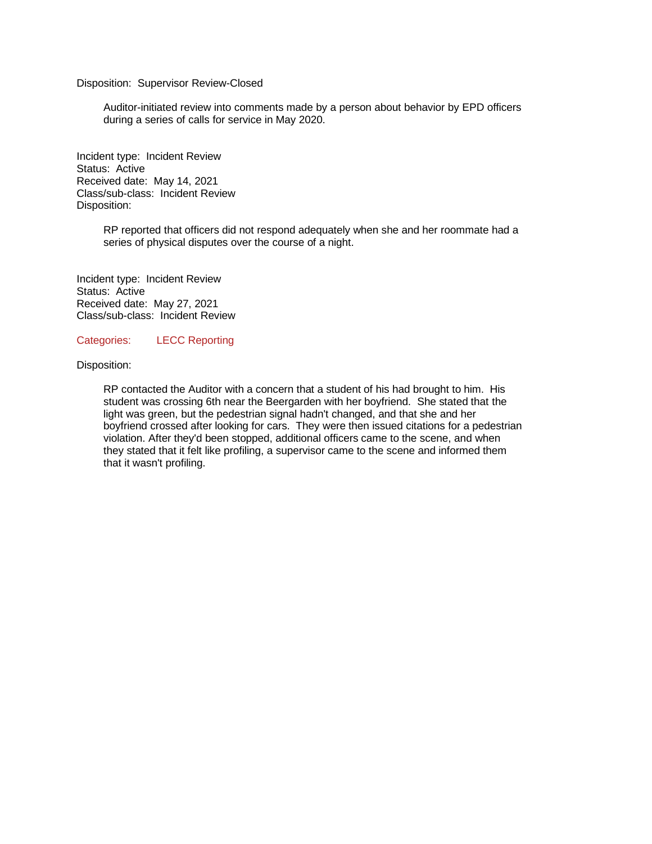#### Disposition: Supervisor Review-Closed

Auditor-initiated review into comments made by a person about behavior by EPD officers during a series of calls for service in May 2020.

Incident type: Incident Review Status: Active Received date: May 14, 2021 Class/sub-class: Incident Review Disposition:

> RP reported that officers did not respond adequately when she and her roommate had a series of physical disputes over the course of a night.

Incident type: Incident Review Status: Active Received date: May 27, 2021 Class/sub-class: Incident Review

#### Categories: LECC Reporting

#### Disposition:

RP contacted the Auditor with a concern that a student of his had brought to him. His student was crossing 6th near the Beergarden with her boyfriend. She stated that the light was green, but the pedestrian signal hadn't changed, and that she and her boyfriend crossed after looking for cars. They were then issued citations for a pedestrian violation. After they'd been stopped, additional officers came to the scene, and when they stated that it felt like profiling, a supervisor came to the scene and informed them that it wasn't profiling.